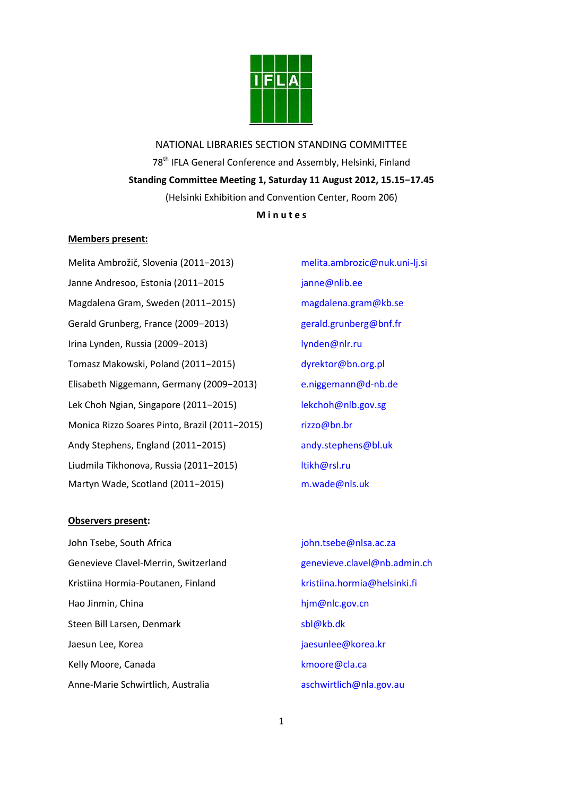

NATIONAL LIBRARIES SECTION STANDING COMMITTEE 78<sup>th</sup> IFLA General Conference and Assembly, Helsinki, Finland **Standing Committee Meeting 1, Saturday 11 August 2012, 15.15−17.45** (Helsinki Exhibition and Convention Center, Room 206) **M i n u t e s**

#### **Members present:**

Melita Ambrožič, Slovenia (2011−2013) [melita.ambrozic@nuk.uni-lj.si](mailto:melita.ambrozic@nuk.uni-lj.si) Janne Andresoo, Estonia (2011−2015 [janne@nlib.ee](mailto:janne@nlib.ee) Magdalena Gram, Sweden (2011−2015) [magdalena.gram@kb.se](mailto:magdalena.gram@kb.se) Gerald Grunberg, France (2009−2013) [gerald.grunberg@bnf.fr](mailto:gerald.grunberg@bnf.fr) Irina Lynden, Russia (2009−2013) [lynden@nlr.ru](mailto:lynden@nlr.ru) Tomasz Makowski, Poland (2011−2015) [dyrektor@bn.org.pl](mailto:dyrektor@bn.org.pl) Elisabeth Niggemann, Germany (2009−2013) [e.niggemann@d-nb.de](mailto:e.niggemann@d-nb.de) Lek Choh Ngian, Singapore (2011−2015) [lekchoh@nlb.gov.sg](mailto:lekchoh@nlb.gov.sg) Monica Rizzo Soares Pinto, Brazil (2011−2015) [rizzo@bn.br](mailto:rizzo@bn.br) Andy Stephens, England (2011–2015) [andy.stephens@bl.uk](mailto:andy.stephens@bl.uk) Liudmila Tikhonova, Russia (2011−2015) [ltikh@rsl.ru](mailto:ltikh@rsl.ru) Martyn Wade, Scotland (2011−2015) [m.wade@nls.uk](mailto:m.wade@nls.uk)

## **Observers present:**

John Tsebe, South Africa [john.tsebe@nlsa.ac.za](mailto:john.tsebe@nlsa.ac.za) Genevieve Clavel-Merrin, Switzerland [genevieve.clavel@nb.admin.ch](mailto:genevieve.clavel@nb.admin.ch) Kristiina Hormia-Poutanen, Finland [kristiina.hormia@helsinki.fi](mailto:kristiina.hormia@helsinki.fi) Hao Jinmin, China hima him@nlc.gov.cn Steen Bill Larsen, Denmark [sbl@kb.dk](mailto:sbl@kb.dk) Jaesun Lee, Korea [jaesunlee@korea.kr](mailto:jaesunlee@korea.kr) Kelly Moore, Canada [kmoore@cla.ca](mailto:kmoore@cla.ca) Anne-Marie Schwirtlich, Australia and [aschwirtlich@nla.gov.au](mailto:aschwirtlich@nla.gov.au)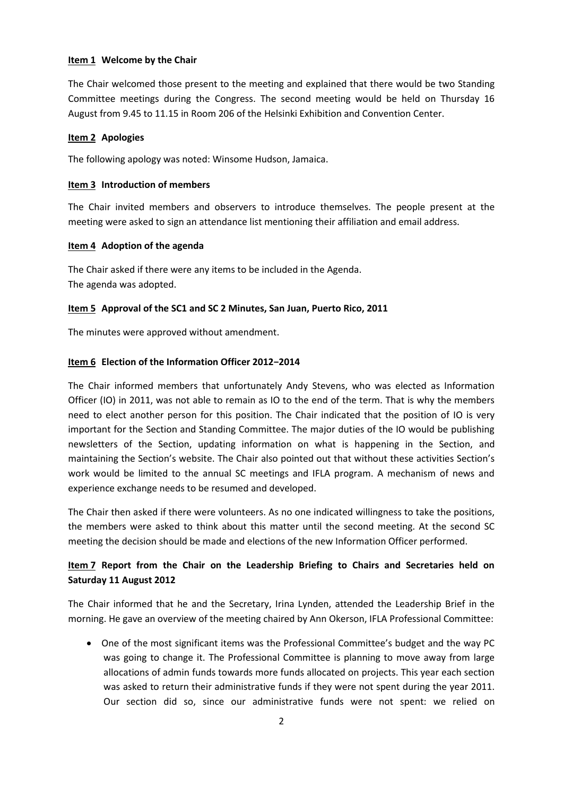### **Item 1 Welcome by the Chair**

The Chair welcomed those present to the meeting and explained that there would be two Standing Committee meetings during the Congress. The second meeting would be held on Thursday 16 August from 9.45 to 11.15 in Room 206 of the Helsinki Exhibition and Convention Center.

## **Item 2 Apologies**

The following apology was noted: Winsome Hudson, Jamaica.

## **Item 3 Introduction of members**

The Chair invited members and observers to introduce themselves. The people present at the meeting were asked to sign an attendance list mentioning their affiliation and email address.

#### **Item 4 Adoption of the agenda**

The Chair asked if there were any items to be included in the Agenda. The agenda was adopted.

#### **Item 5 Approval of the SC1 and SC 2 Minutes, San Juan, Puerto Rico, 2011**

The minutes were approved without amendment.

## **Item 6 Election of the Information Officer 2012−2014**

The Chair informed members that unfortunately Andy Stevens, who was elected as Information Officer (IO) in 2011, was not able to remain as IO to the end of the term. That is why the members need to elect another person for this position. The Chair indicated that the position of IO is very important for the Section and Standing Committee. The major duties of the IO would be publishing newsletters of the Section, updating information on what is happening in the Section, and maintaining the Section's website. The Chair also pointed out that without these activities Section's work would be limited to the annual SC meetings and IFLA program. A mechanism of news and experience exchange needs to be resumed and developed.

The Chair then asked if there were volunteers. As no one indicated willingness to take the positions, the members were asked to think about this matter until the second meeting. At the second SC meeting the decision should be made and elections of the new Information Officer performed.

# **Item 7 Report from the Chair on the Leadership Briefing to Chairs and Secretaries held on Saturday 11 August 2012**

The Chair informed that he and the Secretary, Irina Lynden, attended the Leadership Brief in the morning. He gave an overview of the meeting chaired by Ann Okerson, IFLA Professional Committee:

 One of the most significant items was the Professional Committee's budget and the way PC was going to change it. The Professional Committee is planning to move away from large allocations of admin funds towards more funds allocated on projects. This year each section was asked to return their administrative funds if they were not spent during the year 2011. Our section did so, since our administrative funds were not spent: we relied on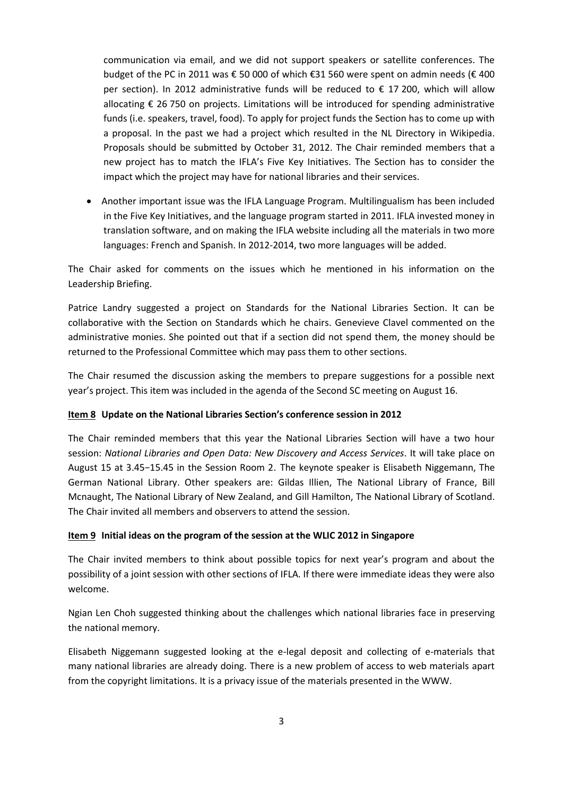communication via email, and we did not support speakers or satellite conferences. The budget of the PC in 2011 was € 50 000 of which €31 560 were spent on admin needs (€ 400 per section). In 2012 administrative funds will be reduced to € 17 200, which will allow allocating  $\epsilon$  26 750 on projects. Limitations will be introduced for spending administrative funds (i.e. speakers, travel, food). To apply for project funds the Section has to come up with a proposal. In the past we had a project which resulted in the NL Directory in Wikipedia. Proposals should be submitted by October 31, 2012. The Chair reminded members that a new project has to match the IFLA's Five Key Initiatives. The Section has to consider the impact which the project may have for national libraries and their services.

 Another important issue was the IFLA Language Program. Multilingualism has been included in the Five Key Initiatives, and the language program started in 2011. IFLA invested money in translation software, and on making the IFLA website including all the materials in two more languages: French and Spanish. In 2012-2014, two more languages will be added.

The Chair asked for comments on the issues which he mentioned in his information on the Leadership Briefing.

Patrice Landry suggested a project on Standards for the National Libraries Section. It can be collaborative with the Section on Standards which he chairs. Genevieve Clavel commented on the administrative monies. She pointed out that if a section did not spend them, the money should be returned to the Professional Committee which may pass them to other sections.

The Chair resumed the discussion asking the members to prepare suggestions for a possible next year's project. This item was included in the agenda of the Second SC meeting on August 16.

## **Item 8 Update on the National Libraries Section's conference session in 2012**

The Chair reminded members that this year the National Libraries Section will have a two hour session: *National Libraries and Open Data: New Discovery and Access Services*. It will take place on August 15 at 3.45−15.45 in the Session Room 2. The keynote speaker is Elisabeth Niggemann, The German National Library. Other speakers are: Gildas Illien, The National Library of France, Bill Mcnaught, The National Library of New Zealand, and Gill Hamilton, The National Library of Scotland. The Chair invited all members and observers to attend the session.

#### **Item 9 Initial ideas on the program of the session at the WLIC 2012 in Singapore**

The Chair invited members to think about possible topics for next year's program and about the possibility of a joint session with other sections of IFLA. If there were immediate ideas they were also welcome.

Ngian Len Choh suggested thinking about the challenges which national libraries face in preserving the national memory.

Elisabeth Niggemann suggested looking at the e-legal deposit and collecting of e-materials that many national libraries are already doing. There is a new problem of access to web materials apart from the copyright limitations. It is a privacy issue of the materials presented in the WWW.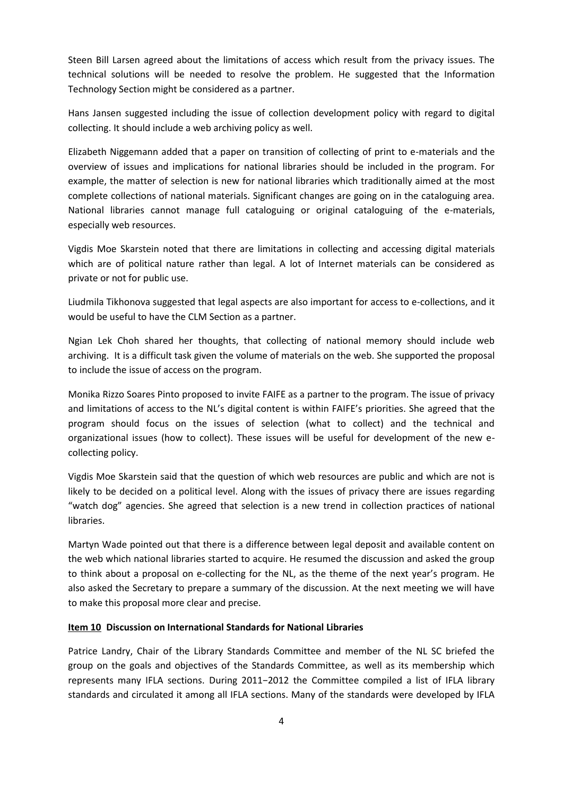Steen Bill Larsen agreed about the limitations of access which result from the privacy issues. The technical solutions will be needed to resolve the problem. He suggested that the Information Technology Section might be considered as a partner.

Hans Jansen suggested including the issue of collection development policy with regard to digital collecting. It should include a web archiving policy as well.

Elizabeth Niggemann added that a paper on transition of collecting of print to e-materials and the overview of issues and implications for national libraries should be included in the program. For example, the matter of selection is new for national libraries which traditionally aimed at the most complete collections of national materials. Significant changes are going on in the cataloguing area. National libraries cannot manage full cataloguing or original cataloguing of the e-materials, especially web resources.

Vigdis Moe Skarstein noted that there are limitations in collecting and accessing digital materials which are of political nature rather than legal. A lot of Internet materials can be considered as private or not for public use.

Liudmila Tikhonova suggested that legal aspects are also important for access to e-collections, and it would be useful to have the CLM Section as a partner.

Ngian Lek Choh shared her thoughts, that collecting of national memory should include web archiving. It is a difficult task given the volume of materials on the web. She supported the proposal to include the issue of access on the program.

Monika Rizzo Soares Pinto proposed to invite FAIFE as a partner to the program. The issue of privacy and limitations of access to the NL's digital content is within FAIFE's priorities. She agreed that the program should focus on the issues of selection (what to collect) and the technical and organizational issues (how to collect). These issues will be useful for development of the new ecollecting policy.

Vigdis Moe Skarstein said that the question of which web resources are public and which are not is likely to be decided on a political level. Along with the issues of privacy there are issues regarding "watch dog" agencies. She agreed that selection is a new trend in collection practices of national libraries.

Martyn Wade pointed out that there is a difference between legal deposit and available content on the web which national libraries started to acquire. He resumed the discussion and asked the group to think about a proposal on e-collecting for the NL, as the theme of the next year's program. He also asked the Secretary to prepare a summary of the discussion. At the next meeting we will have to make this proposal more clear and precise.

#### **Item 10 Discussion on International Standards for National Libraries**

Patrice Landry, Chair of the Library Standards Committee and member of the NL SC briefed the group on the goals and objectives of the Standards Committee, as well as its membership which represents many IFLA sections. During 2011−2012 the Committee compiled a list of IFLA library standards and circulated it among all IFLA sections. Many of the standards were developed by IFLA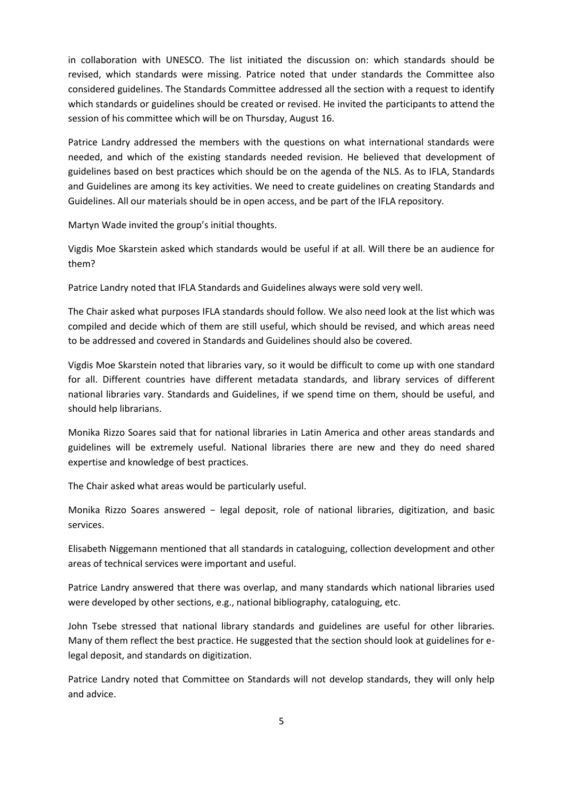in collaboration with UNESCO. The list initiated the discussion on: which standards should be revised, which standards were missing. Patrice noted that under standards the Committee also considered guidelines. The Standards Committee addressed all the section with a request to identify which standards or guidelines should be created or revised. He invited the participants to attend the session of his committee which will be on Thursday, August 16.

Patrice Landry addressed the members with the questions on what international standards were needed, and which of the existing standards needed revision. He believed that development of guidelines based on best practices which should be on the agenda of the NLS. As to IFLA, Standards and Guidelines are among its key activities. We need to create guidelines on creating Standards and Guidelines. All our materials should be in open access, and be part of the IFLA repository.

Martyn Wade invited the group's initial thoughts.

Vigdis Moe Skarstein asked which standards would be useful if at all. Will there be an audience for them?

Patrice Landry noted that IFLA Standards and Guidelines always were sold very well.

The Chair asked what purposes IFLA standards should follow. We also need look at the list which was compiled and decide which of them are still useful, which should be revised, and which areas need to be addressed and covered in Standards and Guidelines should also be covered.

Vigdis Moe Skarstein noted that libraries vary, so it would be difficult to come up with one standard for all. Different countries have different metadata standards, and library services of different national libraries vary. Standards and Guidelines, if we spend time on them, should be useful, and should help librarians.

Monika Rizzo Soares said that for national libraries in Latin America and other areas standards and guidelines will be extremely useful. National libraries there are new and they do need shared expertise and knowledge of best practices.

The Chair asked what areas would be particularly useful.

Monika Rizzo Soares answered − legal deposit, role of national libraries, digitization, and basic services.

Elisabeth Niggemann mentioned that all standards in cataloguing, collection development and other areas of technical services were important and useful.

Patrice Landry answered that there was overlap, and many standards which national libraries used were developed by other sections, e.g., national bibliography, cataloguing, etc.

John Tsebe stressed that national library standards and guidelines are useful for other libraries. Many of them reflect the best practice. He suggested that the section should look at guidelines for elegal deposit, and standards on digitization.

Patrice Landry noted that Committee on Standards will not develop standards, they will only help and advice.